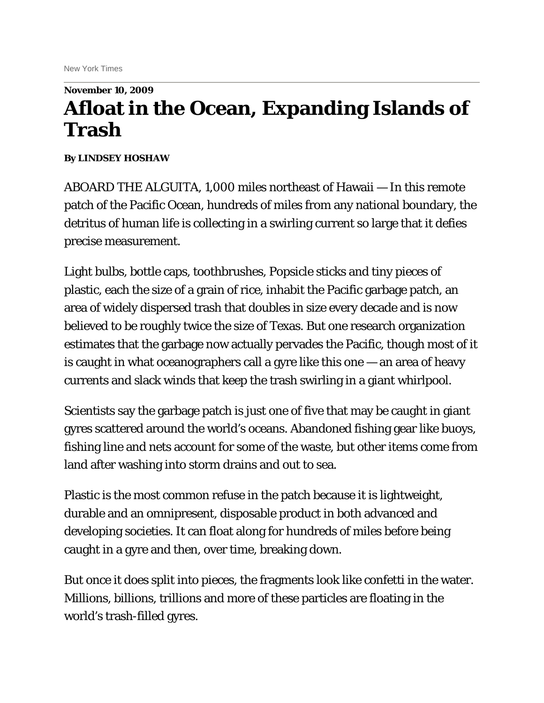## **November 10, 2009 Afloat in the Ocean, Expanding Islands of Trash**

## **By LINDSEY HOSHAW**

ABOARD THE ALGUITA, 1,000 miles northeast of Hawaii — In this remote patch of the Pacific Ocean, hundreds of miles from any national boundary, the detritus of human life is collecting in a swirling current so large that it defies precise measurement.

Light bulbs, bottle caps, toothbrushes, Popsicle sticks and tiny pieces of plastic, each the size of a grain of rice, inhabit the Pacific garbage patch, an area of widely dispersed trash that doubles in size every decade and is now believed to be roughly twice the size of Texas. But one research organization estimates that the garbage now actually pervades the Pacific, though most of it is caught in what oceanographers call a gyre like this one — an area of heavy currents and slack winds that keep the trash swirling in a giant whirlpool.

Scientists say the garbage patch is just one of five that may be caught in giant gyres scattered around the world's oceans. Abandoned fishing gear like buoys, fishing line and nets account for some of the waste, but other items come from land after washing into storm drains and out to sea.

Plastic is the most common refuse in the patch because it is lightweight, durable and an omnipresent, disposable product in both advanced and developing societies. It can float along for hundreds of miles before being caught in a gyre and then, over time, breaking down.

But once it does split into pieces, the fragments look like confetti in the water. Millions, billions, trillions and more of these particles are floating in the world's trash-filled gyres.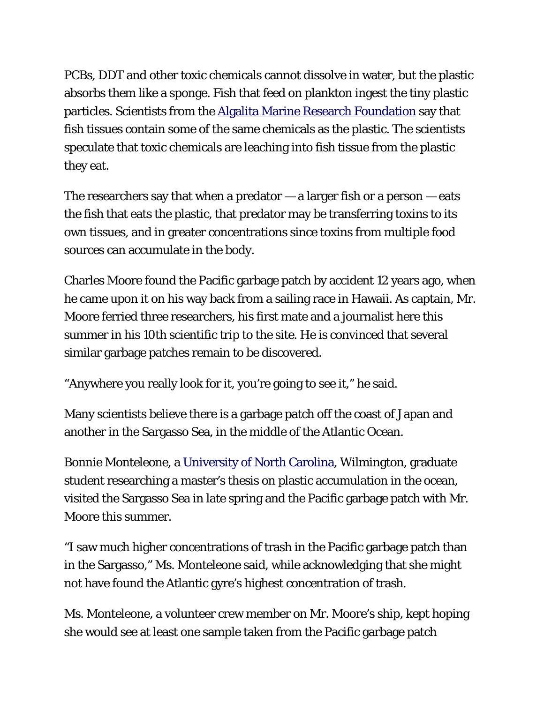PCBs, DDT and other toxic chemicals cannot dissolve in water, but the plastic absorbs them like a sponge. Fish that feed on plankton ingest the tiny plastic particles. Scientists from the Algalita Marine Research Foundation say that fish tissues contain some of the same chemicals as the plastic. The scientists speculate that toxic chemicals are leaching into fish tissue from the plastic they eat.

The researchers say that when a predator — a larger fish or a person — eats the fish that eats the plastic, that predator may be transferring toxins to its own tissues, and in greater concentrations since toxins from multiple food sources can accumulate in the body.

Charles Moore found the Pacific garbage patch by accident 12 years ago, when he came upon it on his way back from a sailing race in Hawaii. As captain, Mr. Moore ferried three researchers, his first mate and a journalist here this summer in his 10th scientific trip to the site. He is convinced that several similar garbage patches remain to be discovered.

"Anywhere you really look for it, you're going to see it," he said.

Many scientists believe there is a garbage patch off the coast of Japan and another in the Sargasso Sea, in the middle of the Atlantic Ocean.

Bonnie Monteleone, a University of North Carolina, Wilmington, graduate student researching a master's thesis on plastic accumulation in the ocean, visited the Sargasso Sea in late spring and the Pacific garbage patch with Mr. Moore this summer.

"I saw much higher concentrations of trash in the Pacific garbage patch than in the Sargasso," Ms. Monteleone said, while acknowledging that she might not have found the Atlantic gyre's highest concentration of trash.

Ms. Monteleone, a volunteer crew member on Mr. Moore's ship, kept hoping she would see at least one sample taken from the Pacific garbage patch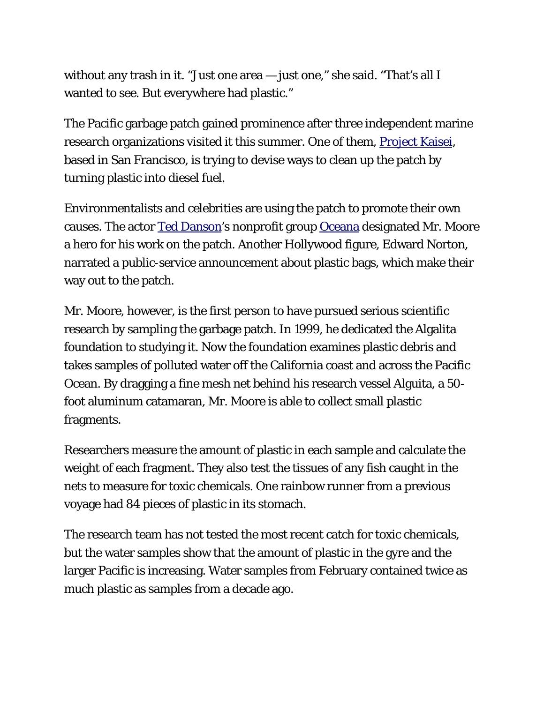without any trash in it. "Just one area — just one," she said. "That's all I wanted to see. But everywhere had plastic."

The Pacific garbage patch gained prominence after three independent marine research organizations visited it this summer. One of them, Project Kaisei, based in San Francisco, is trying to devise ways to clean up the patch by turning plastic into diesel fuel.

Environmentalists and celebrities are using the patch to promote their own causes. The actor Ted Danson's nonprofit group Oceana designated Mr. Moore a hero for his work on the patch. Another Hollywood figure, Edward Norton, narrated a public-service announcement about plastic bags, which make their way out to the patch.

Mr. Moore, however, is the first person to have pursued serious scientific research by sampling the garbage patch. In 1999, he dedicated the Algalita foundation to studying it. Now the foundation examines plastic debris and takes samples of polluted water off the California coast and across the Pacific Ocean. By dragging a fine mesh net behind his research vessel Alguita, a 50 foot aluminum catamaran, Mr. Moore is able to collect small plastic fragments.

Researchers measure the amount of plastic in each sample and calculate the weight of each fragment. They also test the tissues of any fish caught in the nets to measure for toxic chemicals. One rainbow runner from a previous voyage had 84 pieces of plastic in its stomach.

The research team has not tested the most recent catch for toxic chemicals, but the water samples show that the amount of plastic in the gyre and the larger Pacific is increasing. Water samples from February contained twice as much plastic as samples from a decade ago.